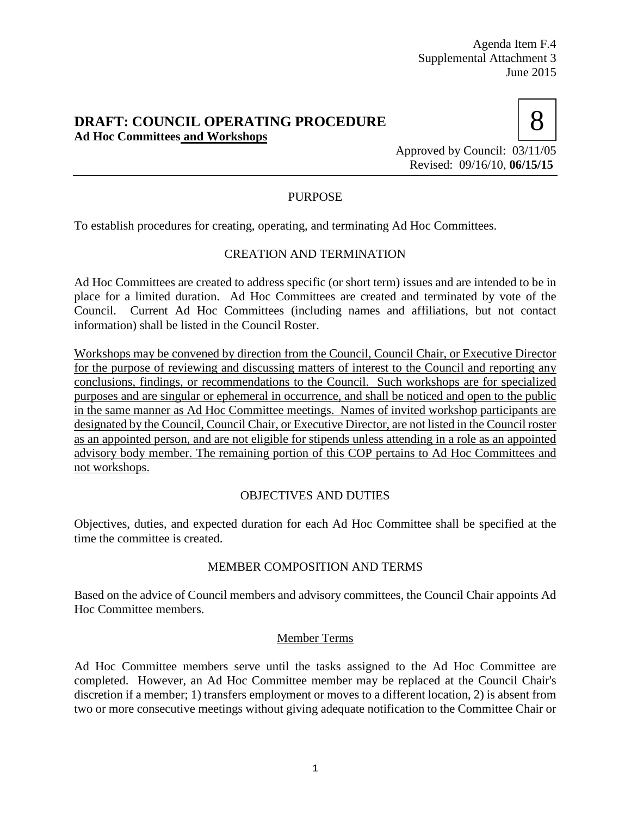## **DRAFT: COUNCIL OPERATING PROCEDURE Ad Hoc Committees and Workshops**



Approved by Council: 03/11/05 Revised: 09/16/10, **06/15/15**

# PURPOSE

To establish procedures for creating, operating, and terminating Ad Hoc Committees.

## CREATION AND TERMINATION

Ad Hoc Committees are created to address specific (or short term) issues and are intended to be in place for a limited duration. Ad Hoc Committees are created and terminated by vote of the Council. Current Ad Hoc Committees (including names and affiliations, but not contact information) shall be listed in the Council Roster.

Workshops may be convened by direction from the Council, Council Chair, or Executive Director for the purpose of reviewing and discussing matters of interest to the Council and reporting any conclusions, findings, or recommendations to the Council. Such workshops are for specialized purposes and are singular or ephemeral in occurrence, and shall be noticed and open to the public in the same manner as Ad Hoc Committee meetings. Names of invited workshop participants are designated by the Council, Council Chair, or Executive Director, are not listed in the Council roster as an appointed person, and are not eligible for stipends unless attending in a role as an appointed advisory body member. The remaining portion of this COP pertains to Ad Hoc Committees and not workshops.

## OBJECTIVES AND DUTIES

Objectives, duties, and expected duration for each Ad Hoc Committee shall be specified at the time the committee is created.

## MEMBER COMPOSITION AND TERMS

Based on the advice of Council members and advisory committees, the Council Chair appoints Ad Hoc Committee members.

#### Member Terms

Ad Hoc Committee members serve until the tasks assigned to the Ad Hoc Committee are completed. However, an Ad Hoc Committee member may be replaced at the Council Chair's discretion if a member; 1) transfers employment or moves to a different location, 2) is absent from two or more consecutive meetings without giving adequate notification to the Committee Chair or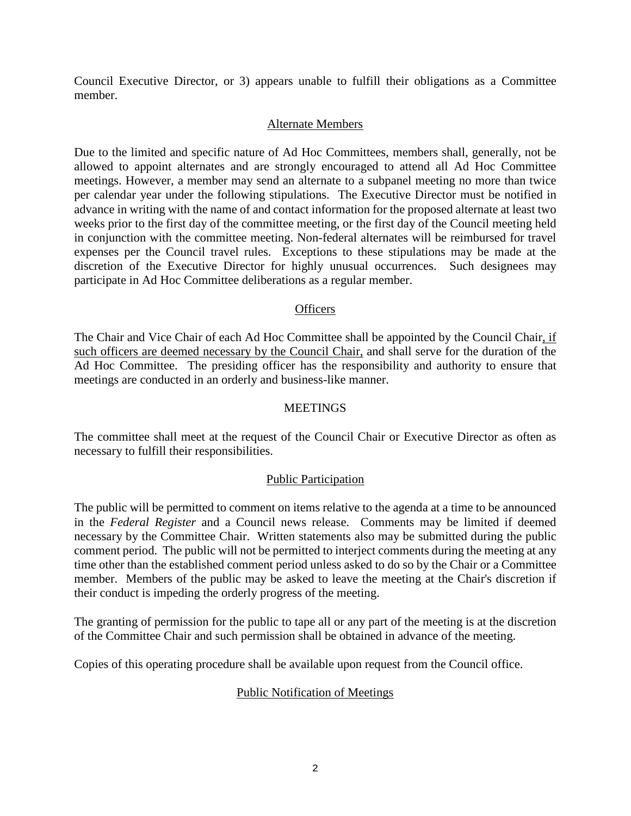Council Executive Director, or 3) appears unable to fulfill their obligations as a Committee member.

### Alternate Members

Due to the limited and specific nature of Ad Hoc Committees, members shall, generally, not be allowed to appoint alternates and are strongly encouraged to attend all Ad Hoc Committee meetings. However, a member may send an alternate to a subpanel meeting no more than twice per calendar year under the following stipulations. The Executive Director must be notified in advance in writing with the name of and contact information for the proposed alternate at least two weeks prior to the first day of the committee meeting, or the first day of the Council meeting held in conjunction with the committee meeting. Non-federal alternates will be reimbursed for travel expenses per the Council travel rules. Exceptions to these stipulations may be made at the discretion of the Executive Director for highly unusual occurrences. Such designees may participate in Ad Hoc Committee deliberations as a regular member.

#### **Officers**

The Chair and Vice Chair of each Ad Hoc Committee shall be appointed by the Council Chair, if such officers are deemed necessary by the Council Chair, and shall serve for the duration of the Ad Hoc Committee. The presiding officer has the responsibility and authority to ensure that meetings are conducted in an orderly and business-like manner.

#### **MEETINGS**

The committee shall meet at the request of the Council Chair or Executive Director as often as necessary to fulfill their responsibilities.

#### Public Participation

The public will be permitted to comment on items relative to the agenda at a time to be announced in the *Federal Register* and a Council news release. Comments may be limited if deemed necessary by the Committee Chair. Written statements also may be submitted during the public comment period. The public will not be permitted to interject comments during the meeting at any time other than the established comment period unless asked to do so by the Chair or a Committee member. Members of the public may be asked to leave the meeting at the Chair's discretion if their conduct is impeding the orderly progress of the meeting.

The granting of permission for the public to tape all or any part of the meeting is at the discretion of the Committee Chair and such permission shall be obtained in advance of the meeting.

Copies of this operating procedure shall be available upon request from the Council office.

#### Public Notification of Meetings